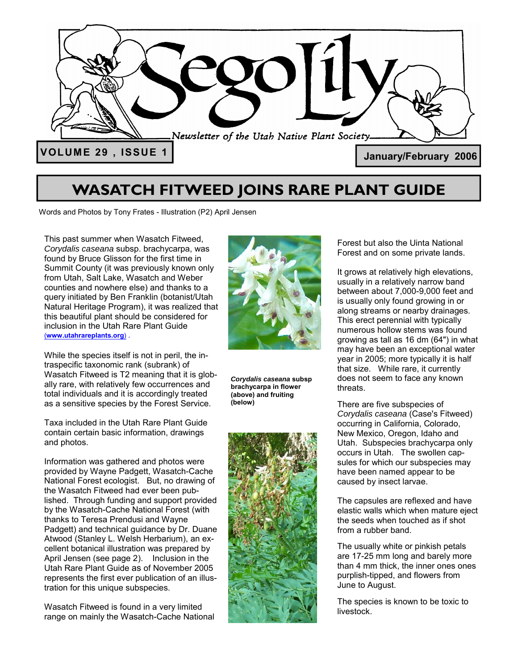

## **WASATCH FITWEED JOINS RARE PLANT GUIDE**

Words and Photos by Tony Frates - Illustration (P2) April Jensen

This past summer when Wasatch Fitweed, *Corydalis caseana* subsp. brachycarpa, was found by Bruce Glisson for the first time in Summit County (it was previously known only from Utah, Salt Lake, Wasatch and Weber counties and nowhere else) and thanks to a query initiated by Ben Franklin (botanist/Utah Natural Heritage Program), it was realized that this beautiful plant should be considered for inclusion in the Utah Rare Plant Guide (**www.utahrareplants.org**) .

While the species itself is not in peril, the intraspecific taxonomic rank (subrank) of Wasatch Fitweed is T2 meaning that it is globally rare, with relatively few occurrences and total individuals and it is accordingly treated as a sensitive species by the Forest Service.

Taxa included in the Utah Rare Plant Guide contain certain basic information, drawings and photos.

Information was gathered and photos were provided by Wayne Padgett, Wasatch-Cache National Forest ecologist. But, no drawing of the Wasatch Fitweed had ever been published. Through funding and support provided by the Wasatch-Cache National Forest (with thanks to Teresa Prendusi and Wayne Padgett) and technical guidance by Dr. Duane Atwood (Stanley L. Welsh Herbarium), an excellent botanical illustration was prepared by April Jensen (see page 2). Inclusion in the Utah Rare Plant Guide as of November 2005 represents the first ever publication of an illustration for this unique subspecies.

Wasatch Fitweed is found in a very limited range on mainly the Wasatch-Cache National



*Corydalis caseana* **subsp brachycarpa in flower (above) and fruiting (below)** 



Forest but also the Uinta National Forest and on some private lands.

It grows at relatively high elevations, usually in a relatively narrow band between about 7,000-9,000 feet and is usually only found growing in or along streams or nearby drainages. This erect perennial with typically numerous hollow stems was found growing as tall as 16 dm (64") in what may have been an exceptional water year in 2005; more typically it is half that size. While rare, it currently does not seem to face any known threats.

There are five subspecies of *Corydalis caseana* (Case's Fitweed) occurring in California, Colorado, New Mexico, Oregon, Idaho and Utah. Subspecies brachycarpa only occurs in Utah. The swollen capsules for which our subspecies may have been named appear to be caused by insect larvae.

The capsules are reflexed and have elastic walls which when mature eject the seeds when touched as if shot from a rubber band.

The usually white or pinkish petals are 17-25 mm long and barely more than 4 mm thick, the inner ones ones purplish-tipped, and flowers from June to August.

The species is known to be toxic to livestock.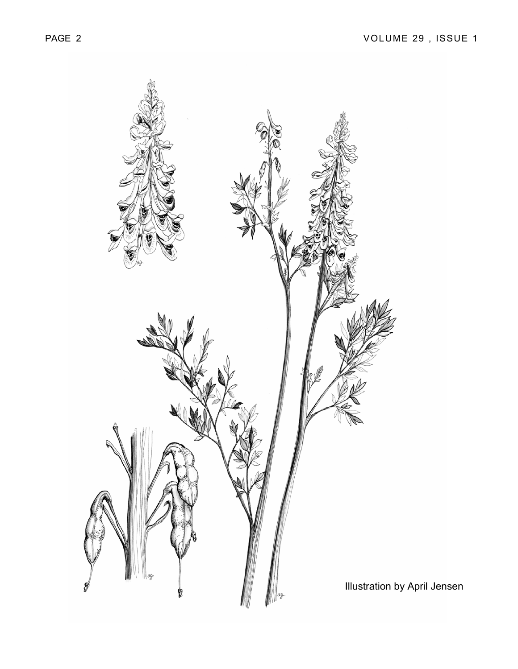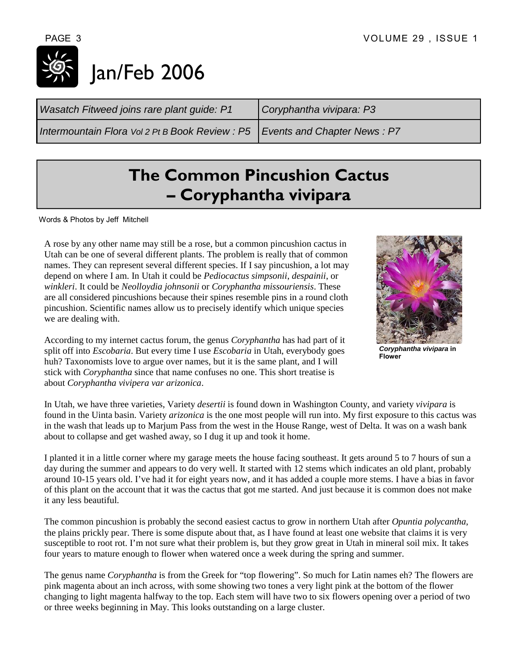# Jan/Feb 2006

| Intermountain Flora Vol 2 Pt B Book Review : $P5$   Events and Chapter News : P7 |
|----------------------------------------------------------------------------------|
|----------------------------------------------------------------------------------|

# **The Common Pincushion Cactus – Coryphantha vivipara**

Words & Photos by Jeff Mitchell

A rose by any other name may still be a rose, but a common pincushion cactus in Utah can be one of several different plants. The problem is really that of common names. They can represent several different species. If I say pincushion, a lot may depend on where I am. In Utah it could be *Pediocactus simpsonii*, *despainii*, or *winkleri*. It could be *Neolloydia johnsonii* or *Coryphantha missouriensis*. These are all considered pincushions because their spines resemble pins in a round cloth pincushion. Scientific names allow us to precisely identify which unique species we are dealing with.

According to my internet cactus forum, the genus *Coryphantha* has had part of it split off into *Escobaria*. But every time I use *Escobaria* in Utah, everybody goes huh? Taxonomists love to argue over names, but it is the same plant, and I will stick with *Coryphantha* since that name confuses no one. This short treatise is about *Coryphantha vivipera var arizonica*.



*Coryphantha vivipara* **in Flower** 

In Utah, we have three varieties, Variety *desertii* is found down in Washington County, and variety *vivipara* is found in the Uinta basin. Variety *arizonica* is the one most people will run into. My first exposure to this cactus was in the wash that leads up to Marjum Pass from the west in the House Range, west of Delta. It was on a wash bank about to collapse and get washed away, so I dug it up and took it home.

I planted it in a little corner where my garage meets the house facing southeast. It gets around 5 to 7 hours of sun a day during the summer and appears to do very well. It started with 12 stems which indicates an old plant, probably around 10-15 years old. I've had it for eight years now, and it has added a couple more stems. I have a bias in favor of this plant on the account that it was the cactus that got me started. And just because it is common does not make it any less beautiful.

The common pincushion is probably the second easiest cactus to grow in northern Utah after *Opuntia polycantha*, the plains prickly pear. There is some dispute about that, as I have found at least one website that claims it is very susceptible to root rot. I'm not sure what their problem is, but they grow great in Utah in mineral soil mix. It takes four years to mature enough to flower when watered once a week during the spring and summer.

The genus name *Coryphantha* is from the Greek for "top flowering". So much for Latin names eh? The flowers are pink magenta about an inch across, with some showing two tones a very light pink at the bottom of the flower changing to light magenta halfway to the top. Each stem will have two to six flowers opening over a period of two or three weeks beginning in May. This looks outstanding on a large cluster.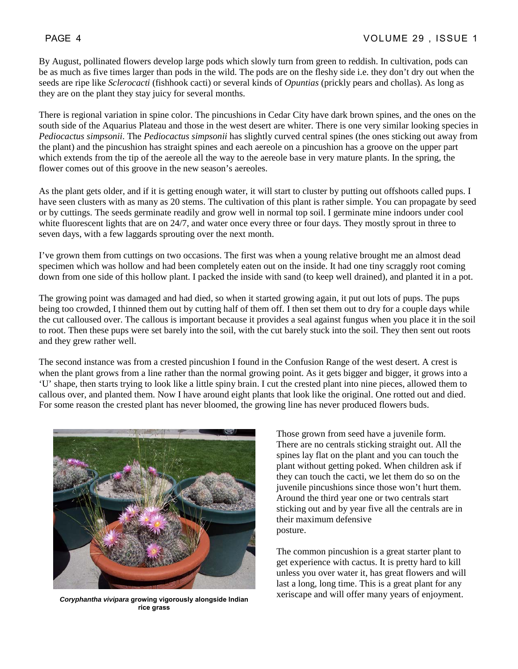By August, pollinated flowers develop large pods which slowly turn from green to reddish. In cultivation, pods can be as much as five times larger than pods in the wild. The pods are on the fleshy side i.e. they don't dry out when the seeds are ripe like *Sclerocacti* (fishhook cacti) or several kinds of *Opuntias* (prickly pears and chollas). As long as they are on the plant they stay juicy for several months.

There is regional variation in spine color. The pincushions in Cedar City have dark brown spines, and the ones on the south side of the Aquarius Plateau and those in the west desert are whiter. There is one very similar looking species in *Pediocactus simpsonii*. The *Pediocactus simpsonii* has slightly curved central spines (the ones sticking out away from the plant) and the pincushion has straight spines and each aereole on a pincushion has a groove on the upper part which extends from the tip of the aereole all the way to the aereole base in very mature plants. In the spring, the flower comes out of this groove in the new season's aereoles.

As the plant gets older, and if it is getting enough water, it will start to cluster by putting out offshoots called pups. I have seen clusters with as many as 20 stems. The cultivation of this plant is rather simple. You can propagate by seed or by cuttings. The seeds germinate readily and grow well in normal top soil. I germinate mine indoors under cool white fluorescent lights that are on 24/7, and water once every three or four days. They mostly sprout in three to seven days, with a few laggards sprouting over the next month.

I've grown them from cuttings on two occasions. The first was when a young relative brought me an almost dead specimen which was hollow and had been completely eaten out on the inside. It had one tiny scraggly root coming down from one side of this hollow plant. I packed the inside with sand (to keep well drained), and planted it in a pot.

The growing point was damaged and had died, so when it started growing again, it put out lots of pups. The pups being too crowded, I thinned them out by cutting half of them off. I then set them out to dry for a couple days while the cut calloused over. The callous is important because it provides a seal against fungus when you place it in the soil to root. Then these pups were set barely into the soil, with the cut barely stuck into the soil. They then sent out roots and they grew rather well.

The second instance was from a crested pincushion I found in the Confusion Range of the west desert. A crest is when the plant grows from a line rather than the normal growing point. As it gets bigger and bigger, it grows into a 'U' shape, then starts trying to look like a little spiny brain. I cut the crested plant into nine pieces, allowed them to callous over, and planted them. Now I have around eight plants that look like the original. One rotted out and died. For some reason the crested plant has never bloomed, the growing line has never produced flowers buds.



**rice grass** 

Those grown from seed have a juvenile form. There are no centrals sticking straight out. All the spines lay flat on the plant and you can touch the plant without getting poked. When children ask if they can touch the cacti, we let them do so on the juvenile pincushions since those won't hurt them. Around the third year one or two centrals start sticking out and by year five all the centrals are in their maximum defensive posture.

The common pincushion is a great starter plant to get experience with cactus. It is pretty hard to kill unless you over water it, has great flowers and will last a long, long time. This is a great plant for any xeriscape and will offer many years of enjoyment. *Coryphantha vivipara* **growing vigorously alongside Indian**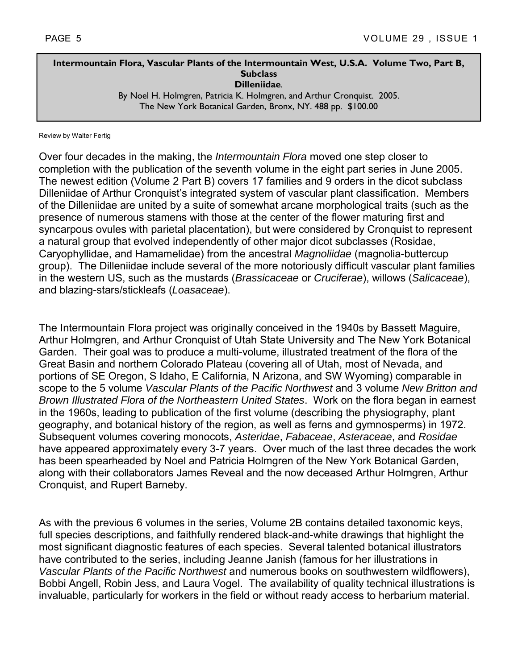## **Intermountain Flora, Vascular Plants of the Intermountain West, U.S.A. Volume Two, Part B, Subclass Dilleniidae**.

By Noel H. Holmgren, Patricia K. Holmgren, and Arthur Cronquist. 2005. The New York Botanical Garden, Bronx, NY. 488 pp. \$100.00

Review by Walter Fertig

Over four decades in the making, the *Intermountain Flora* moved one step closer to completion with the publication of the seventh volume in the eight part series in June 2005. The newest edition (Volume 2 Part B) covers 17 families and 9 orders in the dicot subclass Dilleniidae of Arthur Cronquist's integrated system of vascular plant classification. Members of the Dilleniidae are united by a suite of somewhat arcane morphological traits (such as the presence of numerous stamens with those at the center of the flower maturing first and syncarpous ovules with parietal placentation), but were considered by Cronquist to represent a natural group that evolved independently of other major dicot subclasses (Rosidae, Caryophyllidae, and Hamamelidae) from the ancestral *Magnoliidae* (magnolia-buttercup group). The Dilleniidae include several of the more notoriously difficult vascular plant families in the western US, such as the mustards (*Brassicaceae* or *Cruciferae*), willows (*Salicaceae*), and blazing-stars/stickleafs (*Loasaceae*).

The Intermountain Flora project was originally conceived in the 1940s by Bassett Maguire, Arthur Holmgren, and Arthur Cronquist of Utah State University and The New York Botanical Garden. Their goal was to produce a multi-volume, illustrated treatment of the flora of the Great Basin and northern Colorado Plateau (covering all of Utah, most of Nevada, and portions of SE Oregon, S Idaho, E California, N Arizona, and SW Wyoming) comparable in scope to the 5 volume *Vascular Plants of the Pacific Northwest* and 3 volume *New Britton and Brown Illustrated Flora of the Northeastern United States*. Work on the flora began in earnest in the 1960s, leading to publication of the first volume (describing the physiography, plant geography, and botanical history of the region, as well as ferns and gymnosperms) in 1972. Subsequent volumes covering monocots, *Asteridae*, *Fabaceae*, *Asteraceae*, and *Rosidae* have appeared approximately every 3-7 years. Over much of the last three decades the work has been spearheaded by Noel and Patricia Holmgren of the New York Botanical Garden, along with their collaborators James Reveal and the now deceased Arthur Holmgren, Arthur Cronquist, and Rupert Barneby.

As with the previous 6 volumes in the series, Volume 2B contains detailed taxonomic keys, full species descriptions, and faithfully rendered black-and-white drawings that highlight the most significant diagnostic features of each species. Several talented botanical illustrators have contributed to the series, including Jeanne Janish (famous for her illustrations in *Vascular Plants of the Pacific Northwest* and numerous books on southwestern wildflowers), Bobbi Angell, Robin Jess, and Laura Vogel. The availability of quality technical illustrations is invaluable, particularly for workers in the field or without ready access to herbarium material.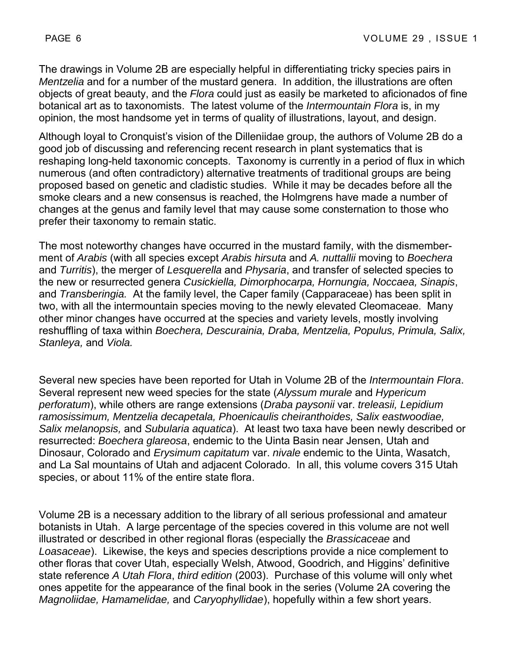The drawings in Volume 2B are especially helpful in differentiating tricky species pairs in *Mentzelia* and for a number of the mustard genera. In addition, the illustrations are often objects of great beauty, and the *Flora* could just as easily be marketed to aficionados of fine botanical art as to taxonomists. The latest volume of the *Intermountain Flora* is, in my opinion, the most handsome yet in terms of quality of illustrations, layout, and design.

Although loyal to Cronquist's vision of the Dilleniidae group, the authors of Volume 2B do a good job of discussing and referencing recent research in plant systematics that is reshaping long-held taxonomic concepts. Taxonomy is currently in a period of flux in which numerous (and often contradictory) alternative treatments of traditional groups are being proposed based on genetic and cladistic studies. While it may be decades before all the smoke clears and a new consensus is reached, the Holmgrens have made a number of changes at the genus and family level that may cause some consternation to those who prefer their taxonomy to remain static.

The most noteworthy changes have occurred in the mustard family, with the dismemberment of *Arabis* (with all species except *Arabis hirsuta* and *A. nuttallii* moving to *Boechera*  and *Turritis*), the merger of *Lesquerella* and *Physaria*, and transfer of selected species to the new or resurrected genera *Cusickiella, Dimorphocarpa, Hornungia, Noccaea, Sinapis*, and *Transberingia.* At the family level, the Caper family (Capparaceae) has been split in two, with all the intermountain species moving to the newly elevated Cleomaceae. Many other minor changes have occurred at the species and variety levels, mostly involving reshuffling of taxa within *Boechera, Descurainia, Draba, Mentzelia, Populus, Primula, Salix, Stanleya,* and *Viola.* 

Several new species have been reported for Utah in Volume 2B of the *Intermountain Flora*. Several represent new weed species for the state (*Alyssum murale* and *Hypericum perforatum*), while others are range extensions (*Draba paysonii* var. *treleasii, Lepidium ramosissimum, Mentzelia decapetala, Phoenicaulis cheiranthoides, Salix eastwoodiae, Salix melanopsis,* and *Subularia aquatica*). At least two taxa have been newly described or resurrected: *Boechera glareosa*, endemic to the Uinta Basin near Jensen, Utah and Dinosaur, Colorado and *Erysimum capitatum* var. *nivale* endemic to the Uinta, Wasatch, and La Sal mountains of Utah and adjacent Colorado. In all, this volume covers 315 Utah species, or about 11% of the entire state flora.

Volume 2B is a necessary addition to the library of all serious professional and amateur botanists in Utah. A large percentage of the species covered in this volume are not well illustrated or described in other regional floras (especially the *Brassicaceae* and *Loasaceae*). Likewise, the keys and species descriptions provide a nice complement to other floras that cover Utah, especially Welsh, Atwood, Goodrich, and Higgins' definitive state reference *A Utah Flora*, *third edition* (2003). Purchase of this volume will only whet ones appetite for the appearance of the final book in the series (Volume 2A covering the *Magnoliidae, Hamamelidae,* and *Caryophyllidae*), hopefully within a few short years.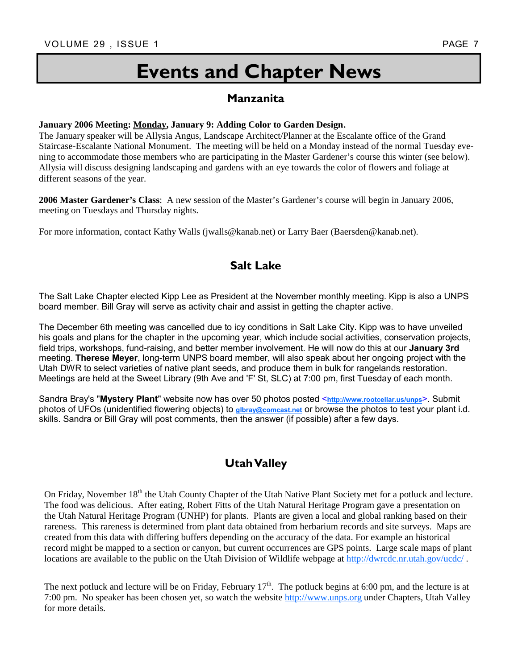# **Events and Chapter News**

## **Manzanita**

**January 2006 Meeting: <u>Monday</u>, January 9: Adding Color to Garden Design.**<br>The January speaker will be Allysia Angus, Landscape Architect/Planner at the Escalante office of the Grand Staircase-Escalante National Monument. The meeting will be held on a Monday instead of the normal Tuesday evening to accommodate those members who are participating in the Master Gardener's course this winter (see below). Allysia will discuss designing landscaping and gardens with an eye towards the color of flowers and foliage at different seasons of the year.

**2006 Master Gardener's Class**: A new session of the Master's Gardener's course will begin in January 2006, meeting on Tuesdays and Thursday nights.

For more information, contact Kathy Walls (jwalls@kanab.net) or Larry Baer (Baersden@kanab.net).

## **Salt Lake**

The Salt Lake Chapter elected Kipp Lee as President at the November monthly meeting. Kipp is also a UNPS board member. Bill Gray will serve as activity chair and assist in getting the chapter active.

The December 6th meeting was cancelled due to icy conditions in Salt Lake City. Kipp was to have unveiled his goals and plans for the chapter in the upcoming year, which include social activities, conservation projects, field trips, workshops, fund-raising, and better member involvement. He will now do this at our **January 3rd** meeting. **Therese Meyer**, long-term UNPS board member, will also speak about her ongoing project with the Utah DWR to select varieties of native plant seeds, and produce them in bulk for rangelands restoration. Meetings are held at the Sweet Library (9th Ave and 'F' St, SLC) at 7:00 pm, first Tuesday of each month.

Sandra Bray's "**Mystery Plant**" website now has over 50 photos posted <**http://www.rootcellar.us/unps**>. Submit photos of UFOs (unidentified flowering objects) to **glbray@comcast.net** or browse the photos to test your plant i.d. skills. Sandra or Bill Gray will post comments, then the answer (if possible) after a few days.

## **Utah Valley**

On Friday, November 18<sup>th</sup> the Utah County Chapter of the Utah Native Plant Society met for a potluck and lecture. The food was delicious. After eating, Robert Fitts of the Utah Natural Heritage Program gave a presentation on the Utah Natural Heritage Program (UNHP) for plants. Plants are given a local and global ranking based on their rareness. This rareness is determined from plant data obtained from herbarium records and site surveys. Maps are created from this data with differing buffers depending on the accuracy of the data. For example an historical record might be mapped to a section or canyon, but current occurrences are GPS points. Large scale maps of plant locations are available to the public on the Utah Division of Wildlife webpage at http://dwrcdc.nr.utah.gov/ucdc/.

The next potluck and lecture will be on Friday, February  $17<sup>th</sup>$ . The potluck begins at 6:00 pm, and the lecture is at 7:00 pm. No speaker has been chosen yet, so watch the website http://www.unps.org under Chapters, Utah Valley for more details.